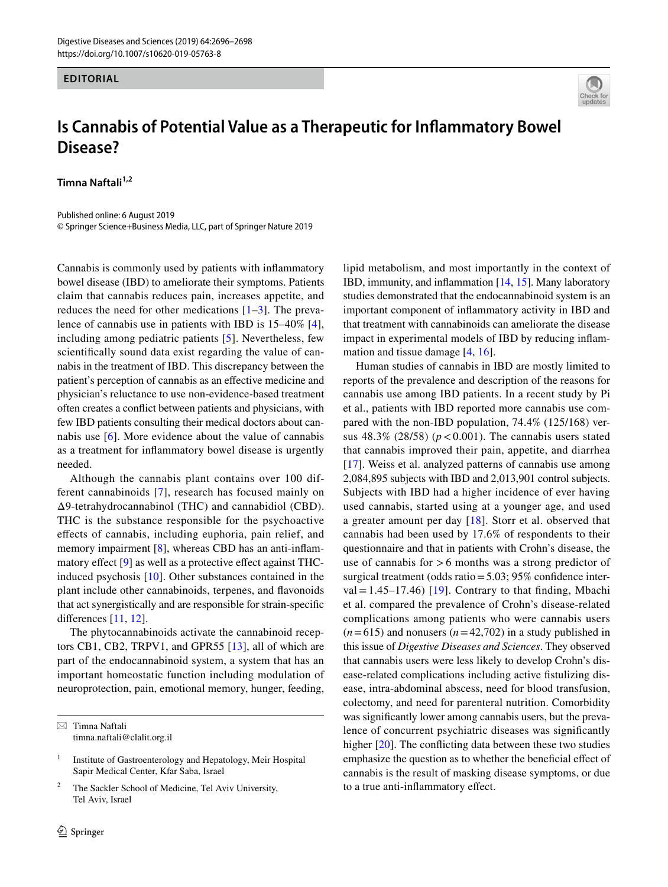## **EDITORIAL**



## **Is Cannabis of Potential Value as a Therapeutic for Infammatory Bowel Disease?**

**Timna Naftali1,2**

Published online: 6 August 2019 © Springer Science+Business Media, LLC, part of Springer Nature 2019

Cannabis is commonly used by patients with infammatory bowel disease (IBD) to ameliorate their symptoms. Patients claim that cannabis reduces pain, increases appetite, and reduces the need for other medications  $[1-3]$  $[1-3]$  $[1-3]$ . The prevalence of cannabis use in patients with IBD is 15–40% [\[4](#page-1-2)], including among pediatric patients [[5\]](#page-1-3). Nevertheless, few scientifcally sound data exist regarding the value of cannabis in the treatment of IBD. This discrepancy between the patient's perception of cannabis as an efective medicine and physician's reluctance to use non-evidence-based treatment often creates a confict between patients and physicians, with few IBD patients consulting their medical doctors about cannabis use [[6](#page-1-4)]. More evidence about the value of cannabis as a treatment for infammatory bowel disease is urgently needed.

Although the cannabis plant contains over 100 different cannabinoids [[7\]](#page-1-5), research has focused mainly on Δ9-tetrahydrocannabinol (THC) and cannabidiol (CBD). THC is the substance responsible for the psychoactive efects of cannabis, including euphoria, pain relief, and memory impairment [\[8](#page-1-6)], whereas CBD has an anti-inflam-matory effect [[9](#page-1-7)] as well as a protective effect against THCinduced psychosis [[10\]](#page-1-8). Other substances contained in the plant include other cannabinoids, terpenes, and favonoids that act synergistically and are responsible for strain-specifc diferences [\[11](#page-1-9), [12](#page-1-10)].

The phytocannabinoids activate the cannabinoid receptors CB1, CB2, TRPV1, and GPR55 [\[13](#page-1-11)], all of which are part of the endocannabinoid system, a system that has an important homeostatic function including modulation of neuroprotection, pain, emotional memory, hunger, feeding,

 $\boxtimes$  Timna Naftali timna.naftali@clalit.org.il

The Sackler School of Medicine, Tel Aviv University, Tel Aviv, Israel

lipid metabolism, and most importantly in the context of IBD, immunity, and infammation [[14,](#page-1-12) [15](#page-1-13)]. Many laboratory studies demonstrated that the endocannabinoid system is an important component of infammatory activity in IBD and that treatment with cannabinoids can ameliorate the disease impact in experimental models of IBD by reducing infammation and tissue damage [\[4](#page-1-2), [16](#page-1-14)].

Human studies of cannabis in IBD are mostly limited to reports of the prevalence and description of the reasons for cannabis use among IBD patients. In a recent study by Pi et al., patients with IBD reported more cannabis use compared with the non-IBD population, 74.4% (125/168) versus  $48.3\%$  ( $28/58$ ) ( $p < 0.001$ ). The cannabis users stated that cannabis improved their pain, appetite, and diarrhea [[17\]](#page-1-15). Weiss et al. analyzed patterns of cannabis use among 2,084,895 subjects with IBD and 2,013,901 control subjects. Subjects with IBD had a higher incidence of ever having used cannabis, started using at a younger age, and used a greater amount per day [[18](#page-1-16)]. Storr et al. observed that cannabis had been used by 17.6% of respondents to their questionnaire and that in patients with Crohn's disease, the use of cannabis for  $>6$  months was a strong predictor of surgical treatment (odds ratio = 5.03; 95% confidence inter-val = 1.45–17.46) [[19](#page-1-17)]. Contrary to that finding, Mbachi et al. compared the prevalence of Crohn's disease-related complications among patients who were cannabis users  $(n=615)$  and nonusers  $(n=42,702)$  in a study published in this issue of *Digestive Diseases and Sciences*. They observed that cannabis users were less likely to develop Crohn's disease-related complications including active fstulizing disease, intra-abdominal abscess, need for blood transfusion, colectomy, and need for parenteral nutrition. Comorbidity was signifcantly lower among cannabis users, but the prevalence of concurrent psychiatric diseases was signifcantly higher [[20\]](#page-2-0). The conficting data between these two studies emphasize the question as to whether the beneficial effect of cannabis is the result of masking disease symptoms, or due to a true anti-infammatory efect.

<sup>&</sup>lt;sup>1</sup> Institute of Gastroenterology and Hepatology, Meir Hospital Sapir Medical Center, Kfar Saba, Israel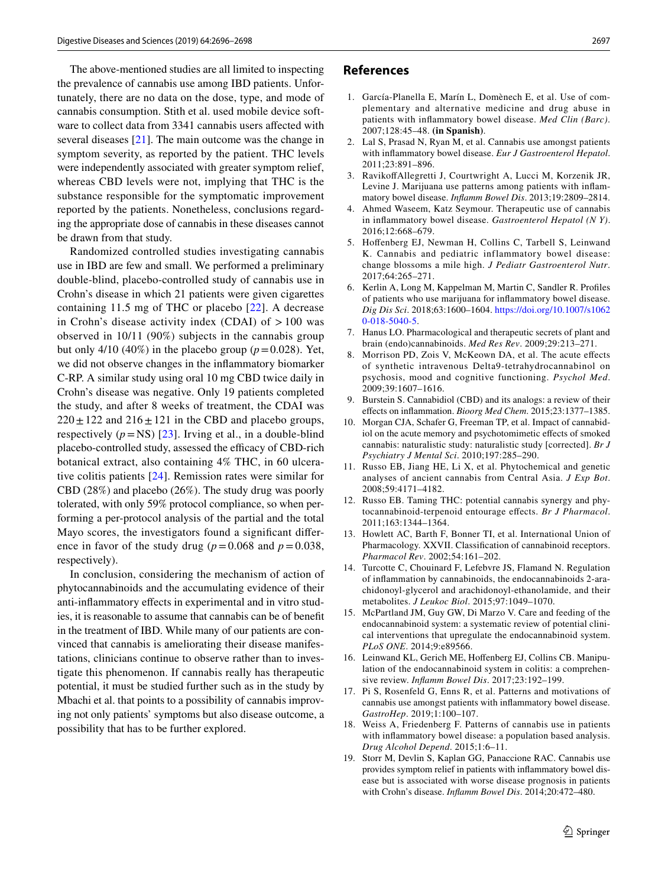The above-mentioned studies are all limited to inspecting the prevalence of cannabis use among IBD patients. Unfortunately, there are no data on the dose, type, and mode of cannabis consumption. Stith et al. used mobile device software to collect data from 3341 cannabis users afected with several diseases [[21\]](#page-2-1). The main outcome was the change in symptom severity, as reported by the patient. THC levels were independently associated with greater symptom relief, whereas CBD levels were not, implying that THC is the substance responsible for the symptomatic improvement reported by the patients. Nonetheless, conclusions regarding the appropriate dose of cannabis in these diseases cannot be drawn from that study.

Randomized controlled studies investigating cannabis use in IBD are few and small. We performed a preliminary double-blind, placebo-controlled study of cannabis use in Crohn's disease in which 21 patients were given cigarettes containing 11.5 mg of THC or placebo [[22](#page-2-2)]. A decrease in Crohn's disease activity index (CDAI) of  $>100$  was observed in 10/11 (90%) subjects in the cannabis group but only 4/10 (40%) in the placebo group ( $p=0.028$ ). Yet, we did not observe changes in the infammatory biomarker C-RP. A similar study using oral 10 mg CBD twice daily in Crohn's disease was negative. Only 19 patients completed the study, and after 8 weeks of treatment, the CDAI was  $220 \pm 122$  and  $216 \pm 121$  in the CBD and placebo groups, respectively  $(p = NS)$  [[23\]](#page-2-3). Irving et al., in a double-blind placebo-controlled study, assessed the efficacy of CBD-rich botanical extract, also containing 4% THC, in 60 ulcerative colitis patients [[24\]](#page-2-4). Remission rates were similar for CBD (28%) and placebo (26%). The study drug was poorly tolerated, with only 59% protocol compliance, so when performing a per-protocol analysis of the partial and the total Mayo scores, the investigators found a signifcant diference in favor of the study drug ( $p = 0.068$  and  $p = 0.038$ , respectively).

In conclusion, considering the mechanism of action of phytocannabinoids and the accumulating evidence of their anti-infammatory efects in experimental and in vitro studies, it is reasonable to assume that cannabis can be of beneft in the treatment of IBD. While many of our patients are convinced that cannabis is ameliorating their disease manifestations, clinicians continue to observe rather than to investigate this phenomenon. If cannabis really has therapeutic potential, it must be studied further such as in the study by Mbachi et al. that points to a possibility of cannabis improving not only patients' symptoms but also disease outcome, a possibility that has to be further explored.

## **References**

- <span id="page-1-0"></span>1. García-Planella E, Marín L, Domènech E, et al. Use of complementary and alternative medicine and drug abuse in patients with infammatory bowel disease. *Med Clin (Barc)*. 2007;128:45–48. **(in Spanish)**.
- 2. Lal S, Prasad N, Ryan M, et al. Cannabis use amongst patients with infammatory bowel disease. *Eur J Gastroenterol Hepatol*. 2011;23:891–896.
- <span id="page-1-1"></span>3. RavikofAllegretti J, Courtwright A, Lucci M, Korzenik JR, Levine J. Marijuana use patterns among patients with infammatory bowel disease. *Infamm Bowel Dis*. 2013;19:2809–2814.
- <span id="page-1-2"></span>4. Ahmed Waseem, Katz Seymour. Therapeutic use of cannabis in infammatory bowel disease. *Gastroenterol Hepatol (N Y)*. 2016;12:668–679.
- <span id="page-1-3"></span>5. Hofenberg EJ, Newman H, Collins C, Tarbell S, Leinwand K. Cannabis and pediatric inflammatory bowel disease: change blossoms a mile high. *J Pediatr Gastroenterol Nutr*. 2017;64:265–271.
- <span id="page-1-4"></span>6. Kerlin A, Long M, Kappelman M, Martin C, Sandler R. Profles of patients who use marijuana for infammatory bowel disease. *Dig Dis Sci*. 2018;63:1600–1604. [https://doi.org/10.1007/s1062](https://doi.org/10.1007/s10620-018-5040-5) [0-018-5040-5.](https://doi.org/10.1007/s10620-018-5040-5)
- <span id="page-1-5"></span>7. Hanus LO. Pharmacological and therapeutic secrets of plant and brain (endo)cannabinoids. *Med Res Rev*. 2009;29:213–271.
- <span id="page-1-6"></span>8. Morrison PD, Zois V, McKeown DA, et al. The acute efects of synthetic intravenous Delta9-tetrahydrocannabinol on psychosis, mood and cognitive functioning. *Psychol Med*. 2009;39:1607–1616.
- <span id="page-1-7"></span>9. Burstein S. Cannabidiol (CBD) and its analogs: a review of their efects on infammation. *Bioorg Med Chem*. 2015;23:1377–1385.
- <span id="page-1-8"></span>10. Morgan CJA, Schafer G, Freeman TP, et al. Impact of cannabidiol on the acute memory and psychotomimetic effects of smoked cannabis: naturalistic study: naturalistic study [corrected]. *Br J Psychiatry J Mental Sci*. 2010;197:285–290.
- <span id="page-1-9"></span>11. Russo EB, Jiang HE, Li X, et al. Phytochemical and genetic analyses of ancient cannabis from Central Asia. *J Exp Bot*. 2008;59:4171–4182.
- <span id="page-1-10"></span>12. Russo EB. Taming THC: potential cannabis synergy and phytocannabinoid-terpenoid entourage efects. *Br J Pharmacol*. 2011;163:1344–1364.
- <span id="page-1-11"></span>13. Howlett AC, Barth F, Bonner TI, et al. International Union of Pharmacology. XXVII. Classifcation of cannabinoid receptors. *Pharmacol Rev*. 2002;54:161–202.
- <span id="page-1-12"></span>14. Turcotte C, Chouinard F, Lefebvre JS, Flamand N. Regulation of infammation by cannabinoids, the endocannabinoids 2-arachidonoyl-glycerol and arachidonoyl-ethanolamide, and their metabolites. *J Leukoc Biol*. 2015;97:1049–1070.
- <span id="page-1-13"></span>15. McPartland JM, Guy GW, Di Marzo V. Care and feeding of the endocannabinoid system: a systematic review of potential clinical interventions that upregulate the endocannabinoid system. *PLoS ONE*. 2014;9:e89566.
- <span id="page-1-14"></span>16. Leinwand KL, Gerich ME, Hofenberg EJ, Collins CB. Manipulation of the endocannabinoid system in colitis: a comprehensive review. *Infamm Bowel Dis*. 2017;23:192–199.
- <span id="page-1-15"></span>17. Pi S, Rosenfeld G, Enns R, et al. Patterns and motivations of cannabis use amongst patients with infammatory bowel disease. *GastroHep*. 2019;1:100–107.
- <span id="page-1-16"></span>18. Weiss A, Friedenberg F. Patterns of cannabis use in patients with infammatory bowel disease: a population based analysis. *Drug Alcohol Depend*. 2015;1:6–11.
- <span id="page-1-17"></span>19. Storr M, Devlin S, Kaplan GG, Panaccione RAC. Cannabis use provides symptom relief in patients with infammatory bowel disease but is associated with worse disease prognosis in patients with Crohn's disease. *Infamm Bowel Dis*. 2014;20:472–480.